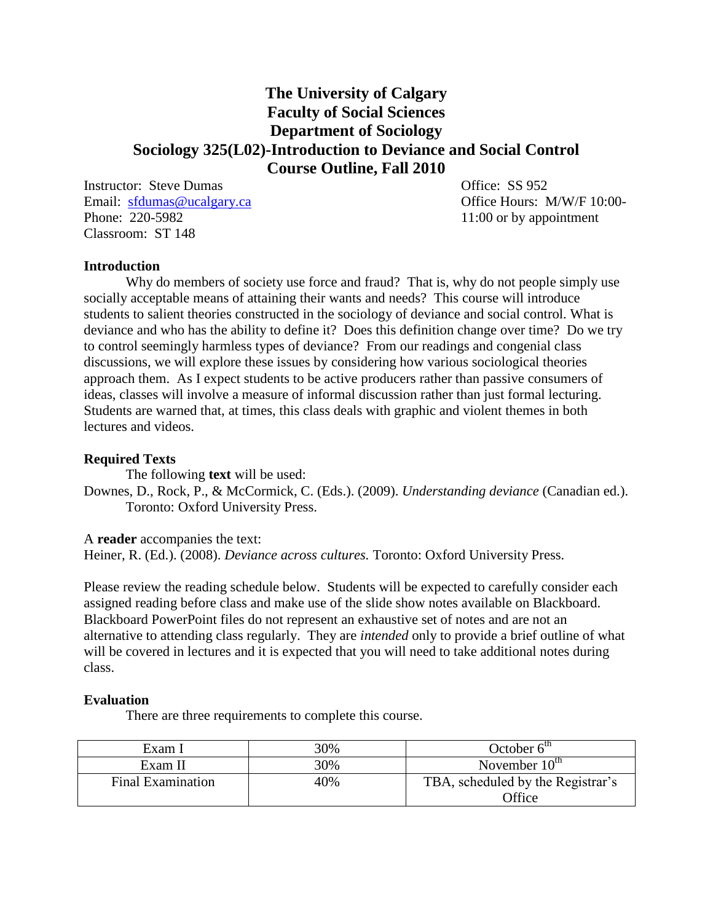# **The University of Calgary Faculty of Social Sciences Department of Sociology Sociology 325(L02)-Introduction to Deviance and Social Control Course Outline, Fall 2010**

Instructor: Steve Dumas **Office: SS 952** Email: [sfdumas@ucalgary.ca](mailto:sfdumas@ucalgary.ca) Office Hours: M/W/F 10:00- Phone: 220-5982 11:00 or by appointment Classroom: ST 148

#### **Introduction**

Why do members of society use force and fraud? That is, why do not people simply use socially acceptable means of attaining their wants and needs? This course will introduce students to salient theories constructed in the sociology of deviance and social control. What is deviance and who has the ability to define it? Does this definition change over time? Do we try to control seemingly harmless types of deviance? From our readings and congenial class discussions, we will explore these issues by considering how various sociological theories approach them. As I expect students to be active producers rather than passive consumers of ideas, classes will involve a measure of informal discussion rather than just formal lecturing. Students are warned that, at times, this class deals with graphic and violent themes in both lectures and videos.

#### **Required Texts**

The following **text** will be used:

Downes, D., Rock, P., & McCormick, C. (Eds.). (2009). *Understanding deviance* (Canadian ed.). Toronto: Oxford University Press.

A **reader** accompanies the text:

Heiner, R. (Ed.). (2008). *Deviance across cultures.* Toronto: Oxford University Press.

Please review the reading schedule below. Students will be expected to carefully consider each assigned reading before class and make use of the slide show notes available on Blackboard. Blackboard PowerPoint files do not represent an exhaustive set of notes and are not an alternative to attending class regularly. They are *intended* only to provide a brief outline of what will be covered in lectures and it is expected that you will need to take additional notes during class.

#### **Evaluation**

There are three requirements to complete this course.

| Exam I                   | 30% | October $6^{\text{th}}$                     |
|--------------------------|-----|---------------------------------------------|
| Exam II                  | 30% | November $10^{th}$                          |
| <b>Final Examination</b> | 40% | TBA, scheduled by the Registrar's<br>Office |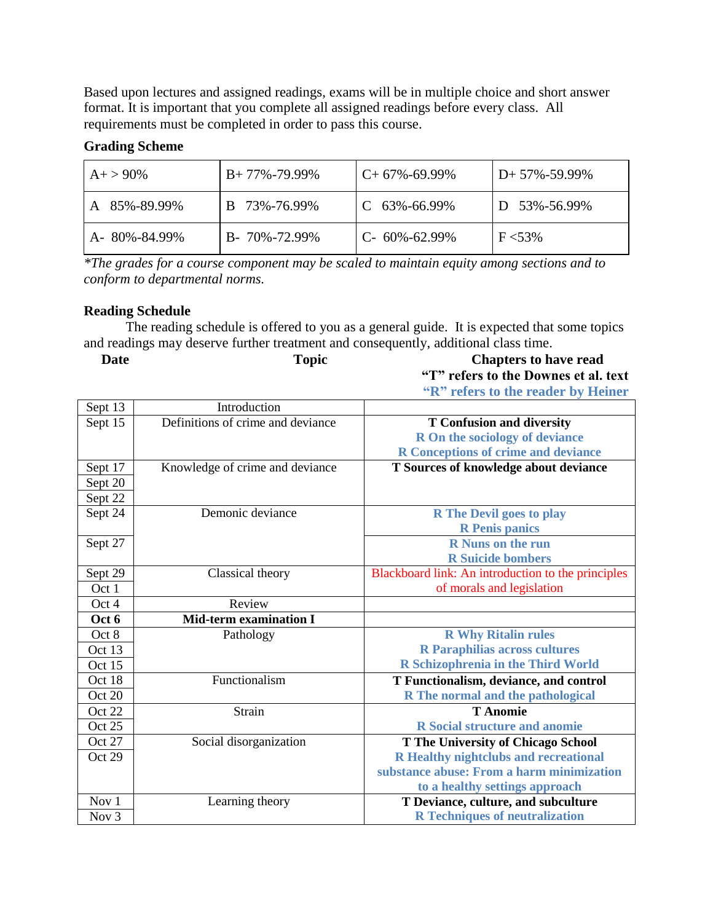Based upon lectures and assigned readings, exams will be in multiple choice and short answer format. It is important that you complete all assigned readings before every class. All requirements must be completed in order to pass this course.

# **Grading Scheme**

| $A+ > 90\%$          | $B+77\% -79.99\%$    | $C+67\% -69.99\%$  | $D+57\% -59.99\%$ |
|----------------------|----------------------|--------------------|-------------------|
| 85%-89.99%           | 73%-76.99%<br>R      | $C$ 63%-66.99%     | $D$ 53%-56.99%    |
| $A - 80\% - 84.99\%$ | $B - 70\% - 72.99\%$ | $C-60\% - 62.99\%$ | $F < 53\%$        |

*\*The grades for a course component may be scaled to maintain equity among sections and to conform to departmental norms.*

# **Reading Schedule**

The reading schedule is offered to you as a general guide. It is expected that some topics and readings may deserve further treatment and consequently, additional class time.

| Date | <b>Topic</b> | <b>Chapters to have read</b>         |
|------|--------------|--------------------------------------|
|      |              | "T" refers to the Downes et al. text |
|      |              | "R" refers to the reader by Heiner"  |

| Sept 13 | Introduction                      |                                                    |
|---------|-----------------------------------|----------------------------------------------------|
| Sept 15 | Definitions of crime and deviance | <b>T</b> Confusion and diversity                   |
|         |                                   | R On the sociology of deviance                     |
|         |                                   | <b>R</b> Conceptions of crime and deviance         |
| Sept 17 | Knowledge of crime and deviance   | T Sources of knowledge about deviance              |
| Sept 20 |                                   |                                                    |
| Sept 22 |                                   |                                                    |
| Sept 24 | Demonic deviance                  | <b>R</b> The Devil goes to play                    |
|         |                                   | <b>R</b> Penis panics                              |
| Sept 27 |                                   | <b>R</b> Nuns on the run                           |
|         |                                   | <b>R</b> Suicide bombers                           |
| Sept 29 | Classical theory                  | Blackboard link: An introduction to the principles |
| Oct 1   |                                   | of morals and legislation                          |
| Oct 4   | Review                            |                                                    |
| Oct 6   | <b>Mid-term examination I</b>     |                                                    |
|         |                                   |                                                    |
| Oct 8   | Pathology                         | <b>R Why Ritalin rules</b>                         |
| Oct 13  |                                   | <b>R</b> Paraphilias across cultures               |
| Oct 15  |                                   | R Schizophrenia in the Third World                 |
| Oct 18  | Functionalism                     | T Functionalism, deviance, and control             |
| Oct 20  |                                   | R The normal and the pathological                  |
| Oct 22  | Strain                            | <b>T</b> Anomie                                    |
| Oct 25  |                                   | <b>R</b> Social structure and anomie               |
| Oct 27  | Social disorganization            | T The University of Chicago School                 |
| Oct 29  |                                   | <b>R</b> Healthy nightclubs and recreational       |
|         |                                   | substance abuse: From a harm minimization          |
|         |                                   | to a healthy settings approach                     |
| Nov 1   | Learning theory                   | T Deviance, culture, and subculture                |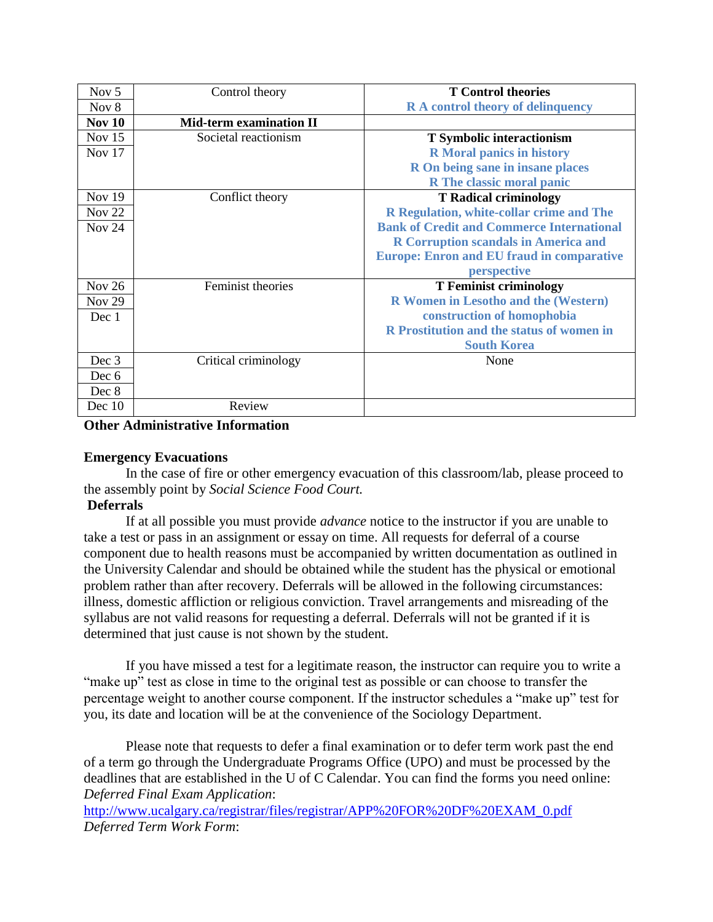| Nov $5$       | Control theory                 | <b>T</b> Control theories                        |
|---------------|--------------------------------|--------------------------------------------------|
| Nov $8$       |                                | <b>RA</b> control theory of delinquency          |
| <b>Nov 10</b> | <b>Mid-term examination II</b> |                                                  |
| Nov $15$      | Societal reactionism           | <b>T</b> Symbolic interactionism                 |
| <b>Nov 17</b> |                                | <b>R</b> Moral panics in history                 |
|               |                                | R On being sane in insane places                 |
|               |                                | <b>R</b> The classic moral panic                 |
| <b>Nov 19</b> | Conflict theory                | <b>T</b> Radical criminology                     |
| Nov $22$      |                                | <b>R</b> Regulation, white-collar crime and The  |
| <b>Nov 24</b> |                                | <b>Bank of Credit and Commerce International</b> |
|               |                                | <b>R</b> Corruption scandals in America and      |
|               |                                | <b>Europe: Enron and EU fraud in comparative</b> |
|               |                                | perspective                                      |
| Nov $26$      | Feminist theories              | <b>T</b> Feminist criminology                    |
| <b>Nov 29</b> |                                | <b>R</b> Women in Lesotho and the (Western)      |
| Dec 1         |                                | construction of homophobia                       |
|               |                                | <b>R</b> Prostitution and the status of women in |
|               |                                | <b>South Korea</b>                               |
| Dec 3         | Critical criminology           | None                                             |
| Dec 6         |                                |                                                  |
| Dec 8         |                                |                                                  |
| Dec $10$      | Review                         |                                                  |

## **Other Administrative Information**

## **Emergency Evacuations**

In the case of fire or other emergency evacuation of this classroom/lab, please proceed to the assembly point by *Social Science Food Court.*

## **Deferrals**

If at all possible you must provide *advance* notice to the instructor if you are unable to take a test or pass in an assignment or essay on time. All requests for deferral of a course component due to health reasons must be accompanied by written documentation as outlined in the University Calendar and should be obtained while the student has the physical or emotional problem rather than after recovery. Deferrals will be allowed in the following circumstances: illness, domestic affliction or religious conviction. Travel arrangements and misreading of the syllabus are not valid reasons for requesting a deferral. Deferrals will not be granted if it is determined that just cause is not shown by the student.

If you have missed a test for a legitimate reason, the instructor can require you to write a "make up" test as close in time to the original test as possible or can choose to transfer the percentage weight to another course component. If the instructor schedules a "make up" test for you, its date and location will be at the convenience of the Sociology Department.

Please note that requests to defer a final examination or to defer term work past the end of a term go through the Undergraduate Programs Office (UPO) and must be processed by the deadlines that are established in the U of C Calendar. You can find the forms you need online: *Deferred Final Exam Application*:

[http://www.ucalgary.ca/registrar/files/registrar/APP%20FOR%20DF%20EXAM\\_0.pdf](http://www.ucalgary.ca/registrar/files/registrar/APP%20FOR%20DF%20EXAM_0.pdf) *Deferred Term Work Form*: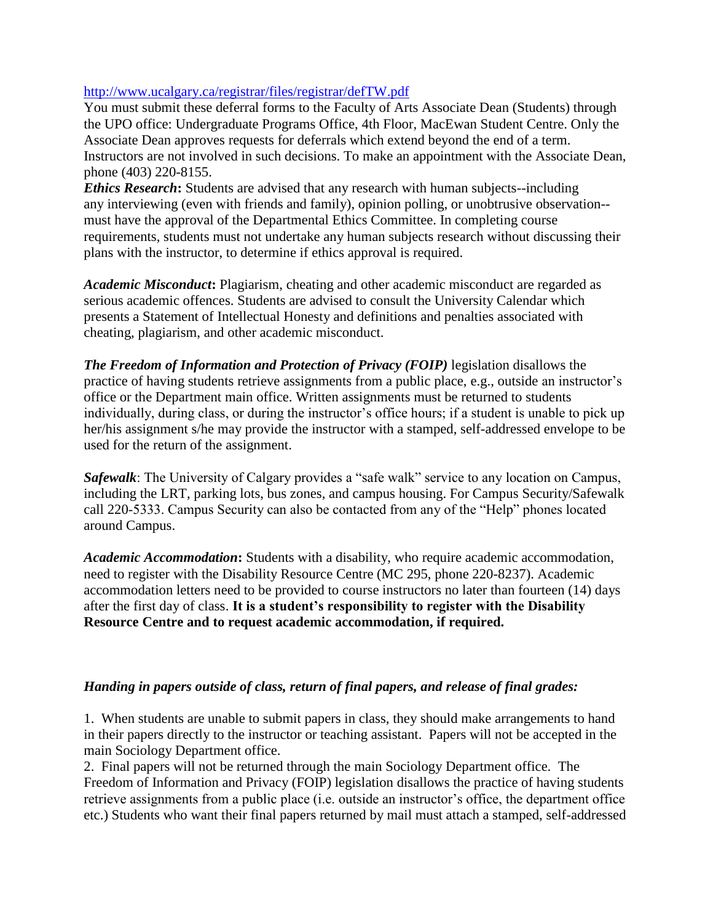## <http://www.ucalgary.ca/registrar/files/registrar/defTW.pdf>

You must submit these deferral forms to the Faculty of Arts Associate Dean (Students) through the UPO office: Undergraduate Programs Office, 4th Floor, MacEwan Student Centre. Only the Associate Dean approves requests for deferrals which extend beyond the end of a term. Instructors are not involved in such decisions. To make an appointment with the Associate Dean, phone (403) 220-8155.

*Ethics Research***:** Students are advised that any research with human subjects--including any interviewing (even with friends and family), opinion polling, or unobtrusive observation- must have the approval of the Departmental Ethics Committee. In completing course requirements, students must not undertake any human subjects research without discussing their plans with the instructor, to determine if ethics approval is required.

*Academic Misconduct***:** Plagiarism, cheating and other academic misconduct are regarded as serious academic offences. Students are advised to consult the University Calendar which presents a Statement of Intellectual Honesty and definitions and penalties associated with cheating, plagiarism, and other academic misconduct.

*The Freedom of Information and Protection of Privacy (FOIP)* legislation disallows the practice of having students retrieve assignments from a public place, e.g., outside an instructor's office or the Department main office. Written assignments must be returned to students individually, during class, or during the instructor's office hours; if a student is unable to pick up her/his assignment s/he may provide the instructor with a stamped, self-addressed envelope to be used for the return of the assignment.

*Safewalk*: The University of Calgary provides a "safe walk" service to any location on Campus, including the LRT, parking lots, bus zones, and campus housing. For Campus Security/Safewalk call 220-5333. Campus Security can also be contacted from any of the "Help" phones located around Campus.

*Academic Accommodation***:** Students with a disability, who require academic accommodation, need to register with the Disability Resource Centre (MC 295, phone 220-8237). Academic accommodation letters need to be provided to course instructors no later than fourteen (14) days after the first day of class. **It is a student's responsibility to register with the Disability Resource Centre and to request academic accommodation, if required.** 

# *Handing in papers outside of class, return of final papers, and release of final grades:*

1. When students are unable to submit papers in class, they should make arrangements to hand in their papers directly to the instructor or teaching assistant. Papers will not be accepted in the main Sociology Department office.

2. Final papers will not be returned through the main Sociology Department office. The Freedom of Information and Privacy (FOIP) legislation disallows the practice of having students retrieve assignments from a public place (i.e. outside an instructor's office, the department office etc.) Students who want their final papers returned by mail must attach a stamped, self-addressed